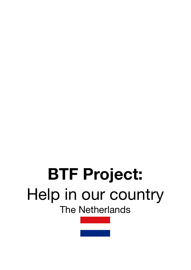# **BTF Project:** Help in our country The Netherlands

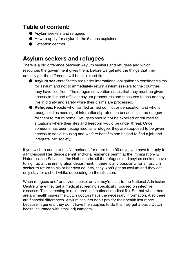# **Table of content:**

- Asylum seekers and refugees
- How to apply for asylum?: the 5 steps explained
- Detention centres

# **Asylum seekers and refugees**

There is a big difference between Asylum seekers and refugees and which resources the government gives them. Before we get into the things that they actually get the difference will be explained first.

- **Asylum seekers:** States are under international obligation to consider claims for asylum and not to immediately return asylum seekers to the countries they have fled from. The refugee convention states that they must be given access to fair and efficient asylum procedures and measures to ensure they live in dignity and safety while their claims are processed.
- **Refugees:** People who has fled armed conflict or persecution and who is recognised as needing of international protection because it is too dangerous for them to return home. Refugees should not be expelled or returned to situations where their lifes and freedom would be under threat. Once someone has been recognised as a refugee, they are supposed to be given access to social housing and welfare benefits and helped to find a job and integrate into society.

If you wish to come to the Netherlands for more than 90 days, you have to apply for a Provisional Residence permit and/or a residence permit at the Immigration- & Naturalisation Service in the Netherlands. all the refugees and asylum seekers have to sign up at the immigration department. If there is any possibility for an asylum seeker to return to his or her own country, they won't get an asylum and they can only stay for a short while, depending on the situation.

When refugees and/ or asylum seeker arrive they're sent to the National Admission Centre where they get a medical screening specifically focused on infective diseases. This screening is registered in a national medical file. So that when there are any health issues the Dutch doctors have the necessary information. Also there are financial differences. Asylum seekers don't pay for their health insurance because in general they don't have the supplies to do this they get a basic Dutch health insurance with small adjustments.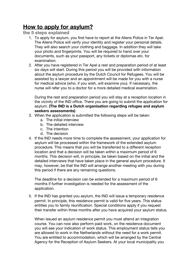# **How to apply for asylum?**

**the 5 steps explained**

- 1. To apply for asylum, you first have to report at the Aliens Police in Ter Apel. The Aliens Police will verify your identity and register your personal details. They will also search your clothing and baggage. In addition they will take your photo and fingerprints. You will be required to hand over your documents, such as your passport, any tickets or diplomas etc. for examination.
- 2. After you have registered in Ter Apel a rest and preparation period of at least six days will start. During this period you will be provided with information about the asylum procedure by the Dutch Council for Refugees. You will be assisted by a lawyer and an appointment will be made for you with a nurse for medical advice (who, if you wish, will examine you). If necessary, the nurse will refer you to a doctor for a more detailed medical examination.

During the rest and preparation period you will stay at a reception location in the vicinity of the IND office. There you are going to submit the application for asylum. **(The IND is a Dutch organisation regarding refugee and asylum seekers assessments)**

- 3. When the application is submitted the following steps will be taken:
	- a. The initial interview
	- b. The detailed interview
	- c. The intention
	- d. The decision
- 4. If the IND needs more time to complete the assessment, your application for asylum will be processed within the framework of the extended asylum procedure. This means that you will be transferred to a different reception location and that a decision will be taken within a maximum period of 6 months. This decision will, in principle, be taken based on the initial and the detailed interviews that have taken place in the general asylum procedure. It may, however, be that the IND will arrange another meeting with you during this period if there are any remaining questions.

The deadline for a decision can be extended for a maximum period of 6 months if further investigation is needed for the assessment of the application.

5. If the IND has granted you asylum, the IND will issue a temporary residence permit. In principle, this residence permit is valid for five years. This status entitles you to family reunification. Special conditions apply if you request their transfer within three months after you have acquired your asylum status.

When issued an asylum residence permit you must attend an integration course. You can now also perform paid work, on the residence document you will see your indication of work status. This employment status tells you are allowed to work in the Netherlands without the need for a work permit. You are entitled to accommodation, which will be arranged by the Central Agency for the Reception of Asylum Seekers. At your local municipality you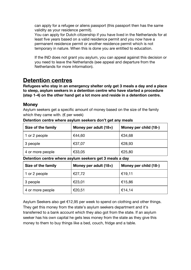can apply for a refugee or aliens passport (this passport then has the same validity as your residence permit).

You can apply for Dutch citizenship if you have lived in the Netherlands for at least five years based on a valid residence permit and you now have a permanent residence permit or another residence permit which is not temporary in nature. When this is done you are entitled to education.

If the IND does not grant you asylum, you can appeal against this decision or you need to leave the Netherlands (see appeal and departure from the Netherlands for more information).

# **Detention centres**

**Refugees who stay in an emergency shelter only get 3 meals a day and a place to sleep, asylum seekers in a detention centre who have started a procedure (step 1-4) on the other hand get a lot more and reside in a detention centre.**

### **Money**

Asylum seekers get a specific amount of money based on the size of the family which they came with. ( $\epsilon$  per week)

| Size of the family | Money per adult (18+) | Money per child (18-) |
|--------------------|-----------------------|-----------------------|
| 1 or 2 people      | €44,60                | €34,68                |
| 3 people           | €37,07                | €28,93                |
| 4 or more people   | €33,05                | €25,80                |

**Detention centre where asylum seekers don't get any meals**

#### **Detention centre where asylum seekers get 3 meals a day**

| Size of the family | Money per adult (18+) | Money per child (18-) |
|--------------------|-----------------------|-----------------------|
| 1 or 2 people      | €27,72                | €19,11                |
| 3 people           | €23,01                | €15,86                |
| 4 or more people   | €20,51                | €14,14                |

Asylum Seekers also get €12,95 per week to spend on clothing and other things. They get this money from the state's asylum seekers department and it's transferred to a bank account which they also got from the state. If an asylum seeker has his own capital he gets less money from the state as they give this money to them to buy things like a bed, couch, fridge and a table.